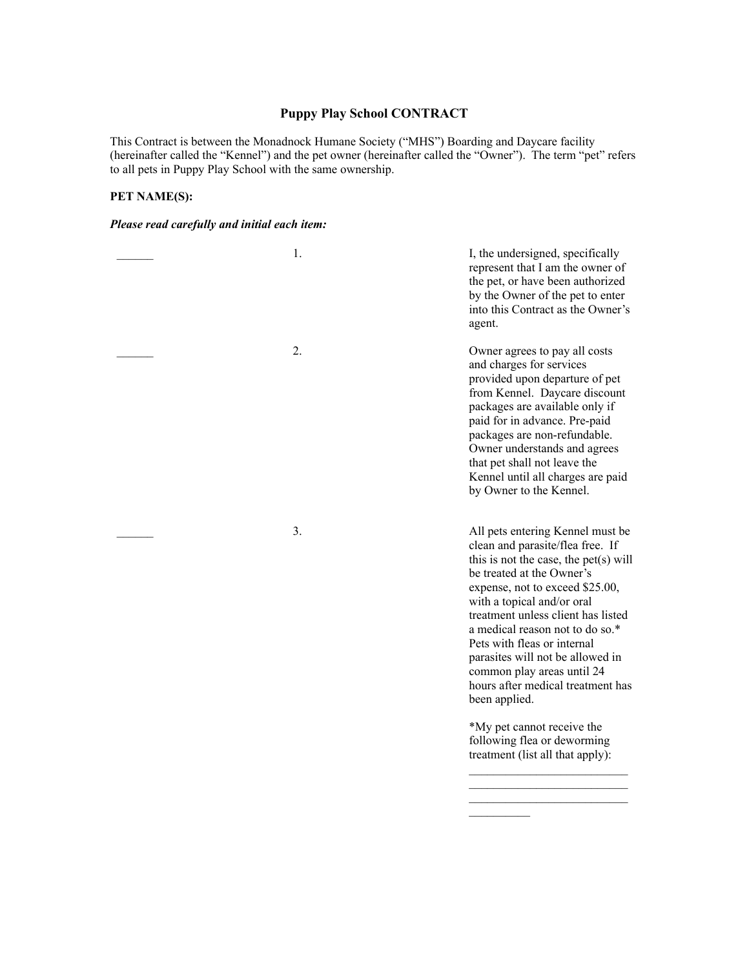### **Puppy Play School CONTRACT**

This Contract is between the Monadnock Humane Society ("MHS") Boarding and Daycare facility (hereinafter called the "Kennel") and the pet owner (hereinafter called the "Owner"). The term "pet" refers to all pets in Puppy Play School with the same ownership.

## **PET NAME(S):**

#### *Please read carefully and initial each item:*

| 1. | I, the undersigned, specifically<br>represent that I am the owner of<br>the pet, or have been authorized<br>by the Owner of the pet to enter<br>into this Contract as the Owner's<br>agent.                                                                                                                                                                                                                                                                                                                                                  |
|----|----------------------------------------------------------------------------------------------------------------------------------------------------------------------------------------------------------------------------------------------------------------------------------------------------------------------------------------------------------------------------------------------------------------------------------------------------------------------------------------------------------------------------------------------|
| 2. | Owner agrees to pay all costs<br>and charges for services<br>provided upon departure of pet<br>from Kennel. Daycare discount<br>packages are available only if<br>paid for in advance. Pre-paid<br>packages are non-refundable.<br>Owner understands and agrees<br>that pet shall not leave the<br>Kennel until all charges are paid<br>by Owner to the Kennel.                                                                                                                                                                              |
| 3. | All pets entering Kennel must be<br>clean and parasite/flea free. If<br>this is not the case, the pet(s) will<br>be treated at the Owner's<br>expense, not to exceed \$25.00,<br>with a topical and/or oral<br>treatment unless client has listed<br>a medical reason not to do so.*<br>Pets with fleas or internal<br>parasites will not be allowed in<br>common play areas until 24<br>hours after medical treatment has<br>been applied.<br>*My pet cannot receive the<br>following flea or deworming<br>treatment (list all that apply): |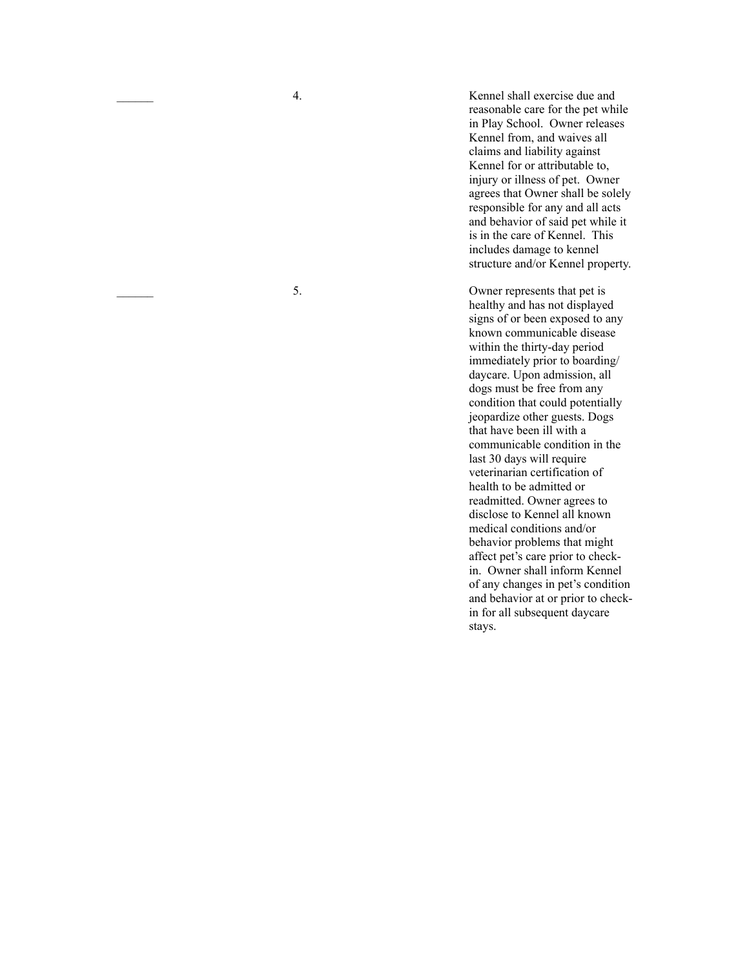\_\_\_\_\_\_ 4. Kennel shall exercise due and reasonable care for the pet while in Play School. Owner releases Kennel from, and waives all claims and liability against Kennel for or attributable to, injury or illness of pet. Owner agrees that Owner shall be solely responsible for any and all acts and behavior of said pet while it is in the care of Kennel. This includes damage to kennel structure and/or Kennel property.

\_\_\_\_\_\_ 5. Owner represents that pet is healthy and has not displayed signs of or been exposed to any known communicable disease within the thirty-day period immediately prior to boarding/ daycare. Upon admission, all dogs must be free from any condition that could potentially jeopardize other guests. Dogs that have been ill with a communicable condition in the last 30 days will require veterinarian certification of health to be admitted or readmitted. Owner agrees to disclose to Kennel all known medical conditions and/or behavior problems that might affect pet's care prior to checkin. Owner shall inform Kennel of any changes in pet's condition and behavior at or prior to checkin for all subsequent daycare stays.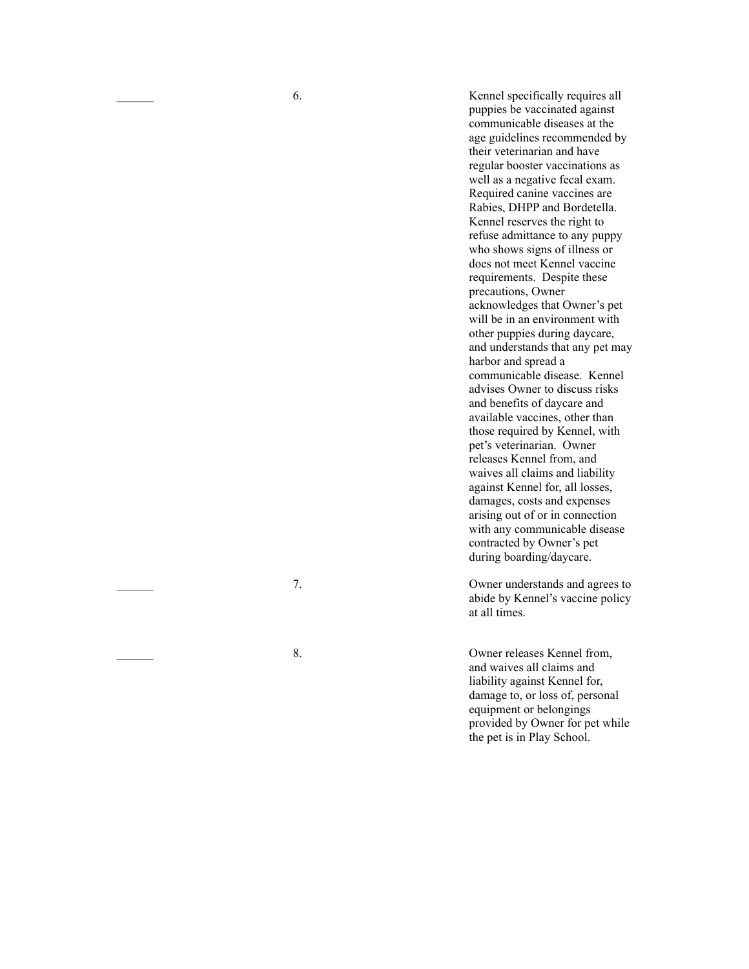\_\_\_\_\_\_ 6. Kennel specifically requires all puppies be vaccinated against communicable diseases at the age guidelines recommended by their veterinarian and have regular booster vaccinations as well as a negative fecal exam. Required canine vaccines are Rabies, DHPP and Bordetella. Kennel reserves the right to refuse admittance to any puppy who shows signs of illness or does not meet Kennel vaccine requirements. Despite these precautions, Owner acknowledges that Owner's pet will be in an environment with other puppies during daycare, and understands that any pet may harbor and spread a communicable disease. Kennel advises Owner to discuss risks and benefits of daycare and available vaccines, other than those required by Kennel, with pet's veterinarian. Owner releases Kennel from, and waives all claims and liability against Kennel for, all losses, damages, costs and expenses arising out of or in connection with any communicable disease contracted by Owner's pet during boarding/daycare.

\_\_\_\_\_\_ 7. Owner understands and agrees to abide by Kennel's vaccine policy at all times.

8. Owner releases Kennel from, and waives all claims and liability against Kennel for, damage to, or loss of, personal equipment or belongings provided by Owner for pet while the pet is in Play School.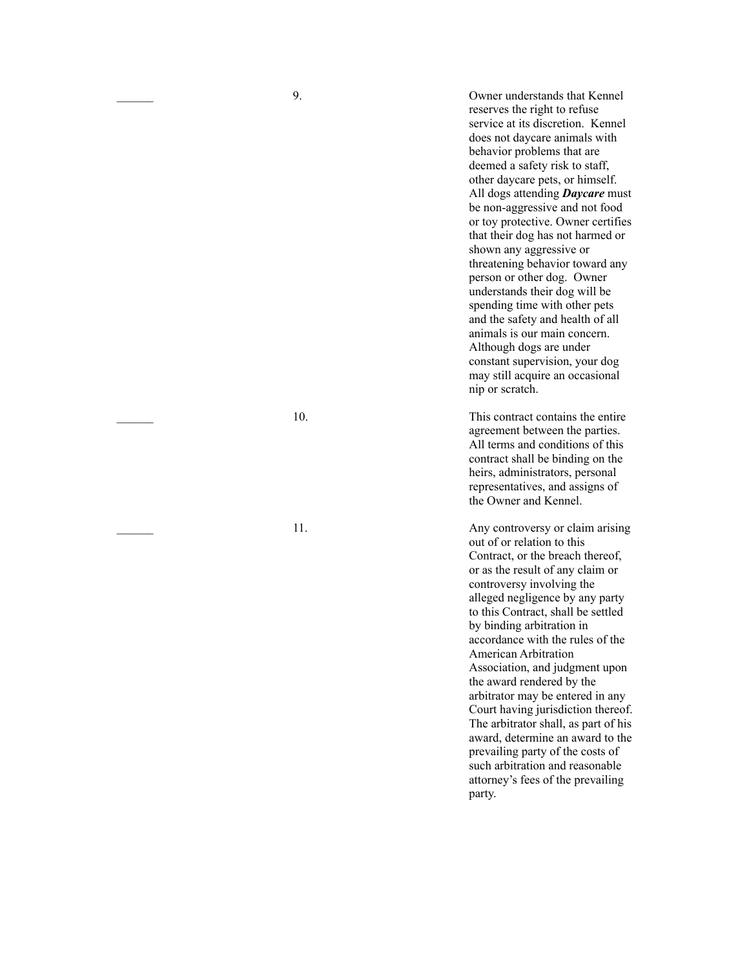\_\_\_\_\_\_ 9. Owner understands that Kennel reserves the right to refuse service at its discretion. Kennel does not daycare animals with behavior problems that are deemed a safety risk to staff, other daycare pets, or himself. All dogs attending *Daycare* must be non-aggressive and not food or toy protective. Owner certifies that their dog has not harmed or shown any aggressive or threatening behavior toward any person or other dog. Owner understands their dog will be spending time with other pets and the safety and health of all animals is our main concern. Although dogs are under constant supervision, your dog may still acquire an occasional nip or scratch.

10. This contract contains the entire agreement between the parties. All terms and conditions of this contract shall be binding on the heirs, administrators, personal representatives, and assigns of the Owner and Kennel.

11. Any controversy or claim arising out of or relation to this Contract, or the breach thereof, or as the result of any claim or controversy involving the alleged negligence by any party to this Contract, shall be settled by binding arbitration in accordance with the rules of the American Arbitration Association, and judgment upon the award rendered by the arbitrator may be entered in any Court having jurisdiction thereof. The arbitrator shall, as part of his award, determine an award to the prevailing party of the costs of such arbitration and reasonable attorney's fees of the prevailing party.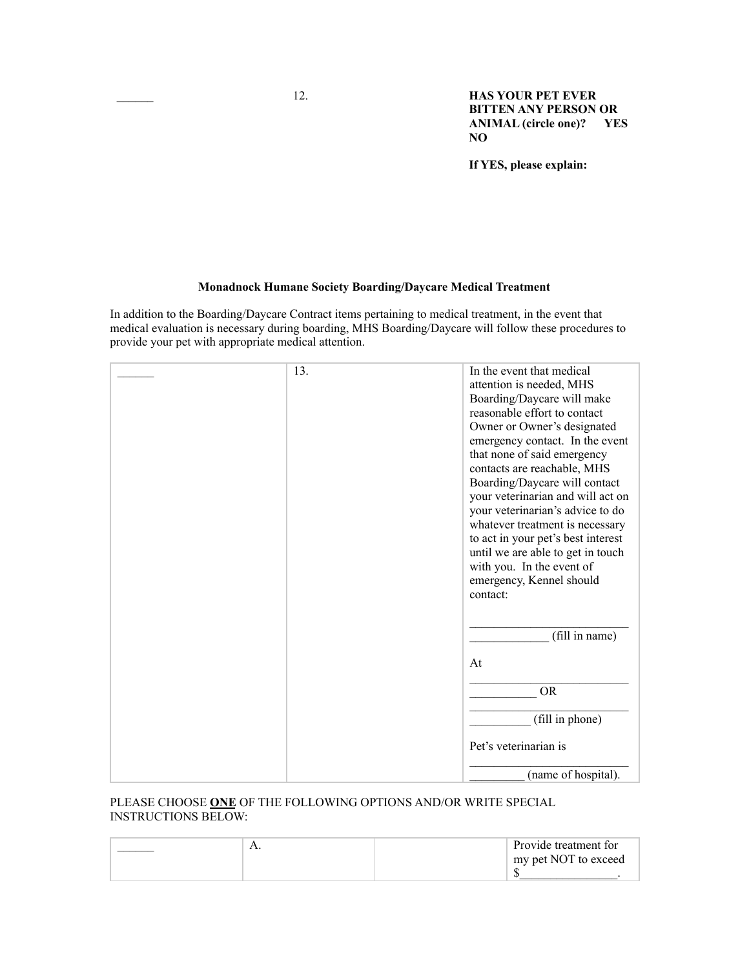\_\_\_\_\_\_ 12. **HAS YOUR PET EVER BITTEN ANY PERSON OR ANIMAL (circle one)? YES NO**

**If YES, please explain:**

#### **Monadnock Humane Society Boarding/Daycare Medical Treatment**

In addition to the Boarding/Daycare Contract items pertaining to medical treatment, in the event that medical evaluation is necessary during boarding, MHS Boarding/Daycare will follow these procedures to provide your pet with appropriate medical attention.

| 13. | In the event that medical<br>attention is needed, MHS<br>Boarding/Daycare will make<br>reasonable effort to contact<br>Owner or Owner's designated<br>emergency contact. In the event<br>that none of said emergency<br>contacts are reachable, MHS<br>Boarding/Daycare will contact<br>your veterinarian and will act on<br>your veterinarian's advice to do<br>whatever treatment is necessary<br>to act in your pet's best interest<br>until we are able to get in touch<br>with you. In the event of<br>emergency, Kennel should<br>contact: |
|-----|--------------------------------------------------------------------------------------------------------------------------------------------------------------------------------------------------------------------------------------------------------------------------------------------------------------------------------------------------------------------------------------------------------------------------------------------------------------------------------------------------------------------------------------------------|
|     | (fill in name)                                                                                                                                                                                                                                                                                                                                                                                                                                                                                                                                   |
|     | At                                                                                                                                                                                                                                                                                                                                                                                                                                                                                                                                               |
|     | <b>OR</b>                                                                                                                                                                                                                                                                                                                                                                                                                                                                                                                                        |
|     | (fill in phone)                                                                                                                                                                                                                                                                                                                                                                                                                                                                                                                                  |
|     | Pet's veterinarian is                                                                                                                                                                                                                                                                                                                                                                                                                                                                                                                            |
|     | (name of hospital).                                                                                                                                                                                                                                                                                                                                                                                                                                                                                                                              |

#### PLEASE CHOOSE **ONE** OF THE FOLLOWING OPTIONS AND/OR WRITE SPECIAL INSTRUCTIONS BELOW:

| 1 L. | Provide treatment for |
|------|-----------------------|
|      | my pet NOT to exceed  |
|      |                       |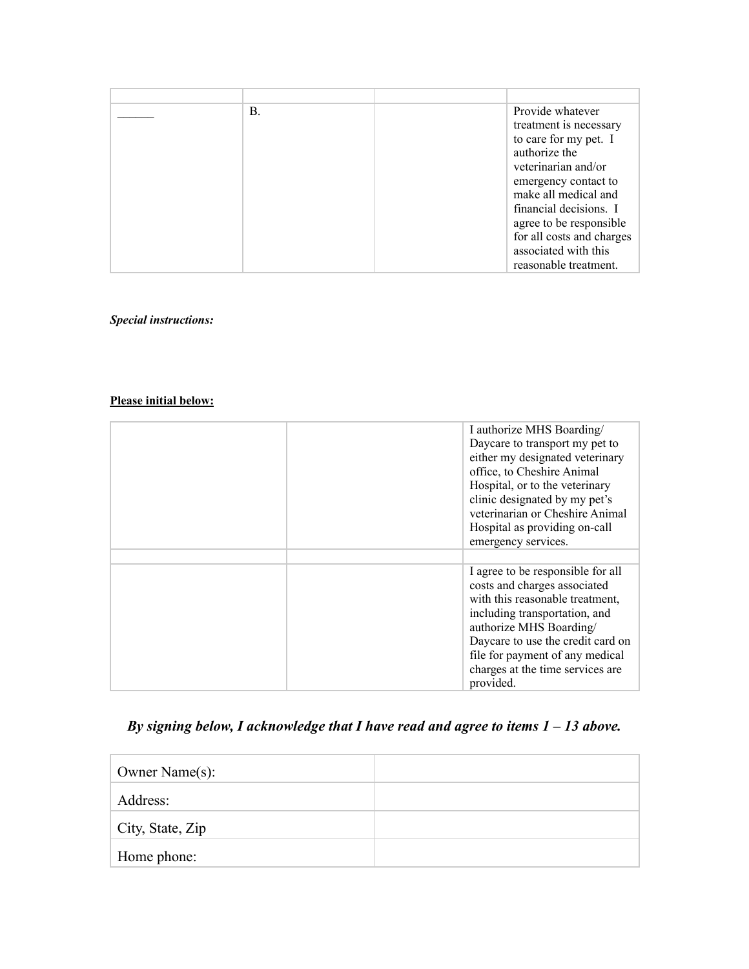| В. | Provide whatever          |
|----|---------------------------|
|    | treatment is necessary    |
|    | to care for my pet. I     |
|    | authorize the             |
|    | veterinarian and/or       |
|    | emergency contact to      |
|    | make all medical and      |
|    | financial decisions. I    |
|    | agree to be responsible   |
|    | for all costs and charges |
|    | associated with this      |
|    | reasonable treatment.     |

*Special instructions:*

## **Please initial below:**

| I authorize MHS Boarding/<br>Daycare to transport my pet to<br>either my designated veterinary<br>office, to Cheshire Animal<br>Hospital, or to the veterinary<br>clinic designated by my pet's<br>veterinarian or Cheshire Animal<br>Hospital as providing on-call<br>emergency services. |
|--------------------------------------------------------------------------------------------------------------------------------------------------------------------------------------------------------------------------------------------------------------------------------------------|
| I agree to be responsible for all<br>costs and charges associated<br>with this reasonable treatment,<br>including transportation, and<br>authorize MHS Boarding/<br>Daycare to use the credit card on<br>file for payment of any medical<br>charges at the time services are<br>provided.  |

# *By signing below, I acknowledge that I have read and agree to items 1 – 13 above.*

| Owner Name(s):   |  |
|------------------|--|
| Address:         |  |
| City, State, Zip |  |
| Home phone:      |  |